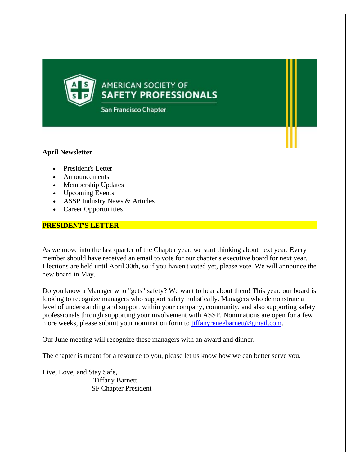**AMERICAN SOCIETY OF SAFETY PROFESSIONALS** 

San Francisco Chapter

# **April Newsletter**

- President's Letter
- Announcements
- Membership Updates
- Upcoming Events
- ASSP Industry News & Articles
- Career Opportunities

# **PRESIDENT'S LETTER**

As we move into the last quarter of the Chapter year, we start thinking about next year. Every member should have received an email to vote for our chapter's executive board for next year. Elections are held until April 30th, so if you haven't voted yet, please vote. We will announce the new board in May.

Do you know a Manager who "gets" safety? We want to hear about them! This year, our board is looking to recognize managers who support safety holistically. Managers who demonstrate a level of understanding and support within your company, community, and also supporting safety professionals through supporting your involvement with ASSP. Nominations are open for a few more weeks, please submit your nomination form to **tiffanyreneebarnett@gmail.com**.

Our June meeting will recognize these managers with an award and dinner.

The chapter is meant for a resource to you, please let us know how we can better serve you.

Live, Love, and Stay Safe, Tiffany Barnett SF Chapter President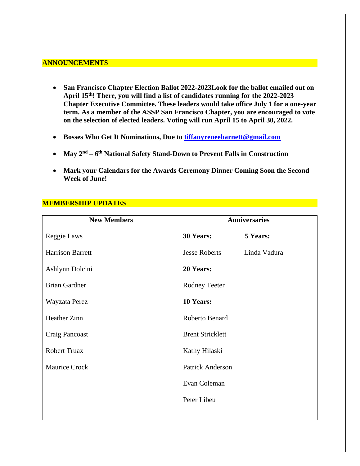## **ANNOUNCEMENTS**

- **San Francisco Chapter Election Ballot 2022-2023Look for the ballot emailed out on April 15th! There, you will find a list of candidates running for the 2022-2023 Chapter Executive Committee. These leaders would take office July 1 for a one-year term. As a member of the ASSP San Francisco Chapter, you are encouraged to vote on the selection of elected leaders. Voting will run April 15 to April 30, 2022.**
- **Bosses Who Get It Nominations, Due to [tiffanyreneebarnett@gmail.com](mailto:tiffanyreneebarnett@gmail.com)**
- **May 2nd – 6 th National Safety Stand-Down to Prevent Falls in Construction**
- **Mark your Calendars for the Awards Ceremony Dinner Coming Soon the Second Week of June!**

# **MEMBERSHIP UPDATES**

| <b>New Members</b>      | <b>Anniversaries</b>    |              |
|-------------------------|-------------------------|--------------|
| Reggie Laws             | 30 Years:               | 5 Years:     |
| <b>Harrison Barrett</b> | <b>Jesse Roberts</b>    | Linda Vadura |
| Ashlynn Dolcini         | 20 Years:               |              |
| <b>Brian Gardner</b>    | Rodney Teeter           |              |
| Wayzata Perez           | 10 Years:               |              |
| Heather Zinn            | Roberto Benard          |              |
| Craig Pancoast          | <b>Brent Stricklett</b> |              |
| <b>Robert Truax</b>     | Kathy Hilaski           |              |
| <b>Maurice Crock</b>    | Patrick Anderson        |              |
|                         | Evan Coleman            |              |
|                         | Peter Libeu             |              |
|                         |                         |              |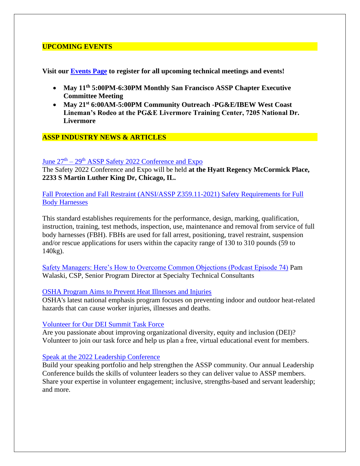## **UPCOMING EVENTS**

**Visit our [Events Page](http://send.assp.org/link.cfm?r=jE-PoAyjQuCXJSliVWQuPA~~&pe=lDsNgh8VfuoZZ38p-Koy2xC_toYP3GqPgRiu4fbuQUhTqwWAxwF7jW4ZmEAutBMwCvCoEKJvpiPHO487VQ_dtQ~~&t=INSERT_TRACKING_ENCID) to register for all upcoming technical meetings and events!**

- **May 11th 5:00PM-6:30PM Monthly San Francisco ASSP Chapter Executive Committee Meeting**
- **May 21st 6:00AM-5:00PM Community Outreach -PG&E/IBEW West Coast Lineman's Rodeo at the PG&E Livermore Training Center, 7205 National Dr. Livermore**

## **ASSP INDUSTRY NEWS & ARTICLES**

### June  $27<sup>th</sup> - 29<sup>th</sup>$  [ASSP Safety 2022 Conference and Expo](https://safety.assp.org/?_ga=2.153168504.190715839.1650210662-394968411.1626835558)

The Safety 2022 Conference and Expo will be held **at the Hyatt Regency McCormick Place, 2233 S Martin Luther King Dr, Chicago, IL.**

[Fall Protection and Fall Restraint \(ANSI/ASSP Z359.11-2021\) Safety Requirements for Full](https://store.assp.org/PersonifyEbusiness/Store/Product-Details/productId/222131640?_ga=2.120080328.190715839.1650210662-394968411.1626835558)  [Body Harnesses](https://store.assp.org/PersonifyEbusiness/Store/Product-Details/productId/222131640?_ga=2.120080328.190715839.1650210662-394968411.1626835558)

This standard establishes requirements for the performance, design, marking, qualification, instruction, training, test methods, inspection, use, maintenance and removal from service of full body harnesses (FBH). FBHs are used for fall arrest, positioning, travel restraint, suspension and/or rescue applications for users within the capacity range of 130 to 310 pounds (59 to 140kg).

[Safety Managers: Here's How to Overcome Common Objections \(Podcast Episode 74\)](https://www.assp.org/resources/the-case-for-safety-podcast/episode-74-safety-managers-here) Pam Walaski, CSP, Senior Program Director at Specialty Technical Consultants

#### [OSHA Program Aims to Prevent Heat Illnesses and Injuries](https://protect-us.mimecast.com/s/R6mOCL9BxOSGONLhW1F9M?domain=send.assp.org)

OSHA's latest national emphasis program focuses on preventing indoor and outdoor heat-related hazards that can cause worker injuries, illnesses and deaths.

#### [Volunteer for Our DEI Summit Task Force](https://protect-us.mimecast.com/s/jDD8CYEXOwSnZk5tpN4xf?domain=send.assp.org)

Are you passionate about improving organizational diversity, equity and inclusion (DEI)? Volunteer to join our task force and help us plan a free, virtual educational event for members.

#### [Speak at the 2022 Leadership Conference](https://protect-us.mimecast.com/s/44jjC1w7KOuPmn8h7ZuvZ?domain=send.assp.org)

Build your speaking portfolio and help strengthen the ASSP community. Our annual Leadership Conference builds the skills of volunteer leaders so they can deliver value to ASSP members. Share your expertise in volunteer engagement; inclusive, strengths-based and servant leadership; and more.